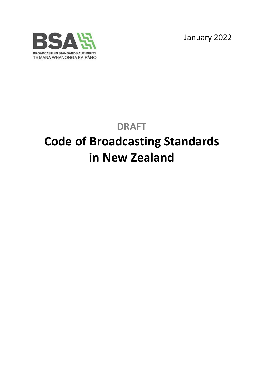January 2022



# **DRAFT Code of Broadcasting Standards in New Zealand**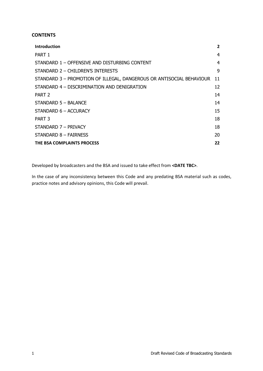# **CONTENTS**

| <b>Introduction</b>                                                  | $\mathbf{2}$ |
|----------------------------------------------------------------------|--------------|
| PART 1                                                               | 4            |
| STANDARD 1 - OFFENSIVE AND DISTURBING CONTENT                        | 4            |
| STANDARD 2 - CHILDREN'S INTERESTS                                    | 9            |
| STANDARD 3 - PROMOTION OF ILLEGAL, DANGEROUS OR ANTISOCIAL BEHAVIOUR | 11           |
| STANDARD 4 - DISCRIMINATION AND DENIGRATION                          | 12           |
| PART <sub>2</sub>                                                    | 14           |
| STANDARD 5 - BALANCE                                                 | 14           |
| STANDARD 6 - ACCURACY                                                | 15           |
| PART <sub>3</sub>                                                    | 18           |
| STANDARD 7 - PRIVACY                                                 | 18           |
| STANDARD 8 - FAIRNESS                                                | 20           |
| THE BSA COMPLAINTS PROCESS                                           | 22           |

Developed by broadcasters and the BSA and issued to take effect from **<DATE TBC>**.

In the case of any inconsistency between this Code and any predating BSA material such as codes, practice notes and advisory opinions, this Code will prevail.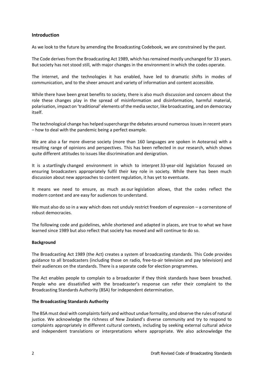#### <span id="page-2-0"></span>**Introduction**

As we look to the future by amending the Broadcasting Codebook, we are constrained by the past.

The Code derives from the Broadcasting Act 1989, which has remained mostly unchanged for 33 years. But society has not stood still, with major changes in the environment in which the codes operate.

The internet, and the technologies it has enabled, have led to dramatic shifts in modes of communication, and to the sheer amount and variety of information and content accessible.

While there have been great benefits to society, there is also much discussion and concern about the role these changes play in the spread of misinformation and disinformation, harmful material, polarisation, impact on 'traditional' elements of the media sector, like broadcasting, and on democracy itself.

The technological change has helped supercharge the debates around numerous issues in recent years – how to deal with the pandemic being a perfect example.

We are also a far more diverse society (more than 160 languages are spoken in Aotearoa) with a resulting range of opinions and perspectives. This has been reflected in our research, which shows quite different attitudes to issues like discrimination and denigration.

It is a startlingly changed environment in which to interpret 33-year-old legislation focused on ensuring broadcasters appropriately fulfil their key role in society. While there has been much discussion about new approaches to content regulation, it has yet to eventuate.

It means we need to ensure, as much as our legislation allows, that the codes reflect the modern context and are easy for audiences to understand.

We must also do so in a way which does not unduly restrict freedom of expression – a cornerstone of robust democracies.

The following code and guidelines, while shortened and adapted in places, are true to what we have learned since 1989 but also reflect that society has moved and will continue to do so.

#### **Background**

The Broadcasting Act 1989 (the Act) creates a system of broadcasting standards. This Code provides guidance to all broadcasters (including those on radio, free-to-air television and pay television) and their audiences on the standards. There is a separate code for election programmes.

The Act enables people to complain to a broadcaster if they think standards have been breached. People who are dissatisfied with the broadcaster's response can refer their complaint to the Broadcasting Standards Authority (BSA) for independent determination.

#### **The Broadcasting Standards Authority**

The BSA must deal with complaints fairly and without undue formality, and observe the rules of natural justice. We acknowledge the richness of New Zealand's diverse community and try to respond to complaints appropriately in different cultural contexts, including by seeking external cultural advice and independent translations or interpretations where appropriate. We also acknowledge the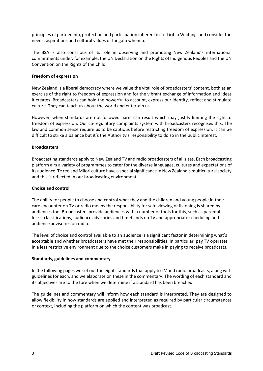principles of partnership, protection and participation inherent in Te Tiriti o Waitangi and consider the needs, aspirations and cultural values of tangata whenua.

The BSA is also conscious of its role in observing and promoting New Zealand's international commitments under, for example, the UN Declaration on the Rights of Indigenous Peoples and the UN Convention on the Rights of the Child.

#### **Freedom of expression**

New Zealand is a liberal democracy where we value the vital role of broadcasters' content, both as an exercise of the right to freedom of expression and for the vibrant exchange of information and ideas it creates. Broadcasters can hold the powerful to account, express our identity, reflect and stimulate culture. They can teach us about the world and entertain us.

However, when standards are not followed harm can result which may justify limiting the right to freedom of expression. Our co-regulatory complaints system with broadcasters recognises this. The law and common sense require us to be cautious before restricting freedom of expression. It can be difficult to strike a balance but it's the Authority's responsibility to do so in the public interest.

#### **Broadcasters**

Broadcasting standards apply to New Zealand TV and radio broadcasters of all sizes. Each broadcasting platform airs a variety of programmes to cater for the diverse languages, cultures and expectations of its audience. Te reo and Māori culture have a special significance in New Zealand's multicultural society and this is reflected in our broadcasting environment.

#### **Choice and control**

The ability for people to choose and control what they and the children and young people in their care encounter on TV or radio means the responsibility for safe viewing or listening is shared by audiences too. Broadcasters provide audiences with a number of tools for this, such as parental locks, classifications, audience advisories and timebands on TV and appropriate scheduling and audience advisories on radio.

The level of choice and control available to an audience is a significant factor in determining what's acceptable and whether broadcasters have met their responsibilities. In particular, pay TV operates in a less restrictive environment due to the choice customers make in paying to receive broadcasts.

#### **Standards, guidelines and commentary**

In the following pages we set out the eight standards that apply to TV and radio broadcasts, along with guidelines for each, and we elaborate on these in the commentary. The wording of each standard and its objectives are to the fore when we determine if a standard has been breached.

The guidelines and commentary will inform how each standard is interpreted. They are designed to allow flexibility in how standards are applied and interpreted as required by particular circumstances or context, including the platform on which the content was broadcast.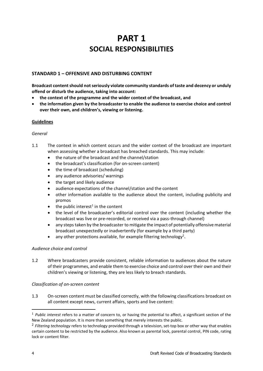# **PART 1 SOCIAL RESPONSIBILITIES**

# <span id="page-4-1"></span><span id="page-4-0"></span>**STANDARD 1 – OFFENSIVE AND DISTURBING CONTENT**

**Broadcast content should not seriously violate community standards of taste and decency or unduly offend or disturb the audience, taking into account:**

- **the context of the programme and the wider context of the broadcast, and**
- **the information given by the broadcaster to enable the audience to exercise choice and control over their own, and children's, viewing or listening.**

#### **Guidelines**

#### *General*

- 1.1 The context in which content occurs and the wider context of the broadcast are important when assessing whether a broadcast has breached standards. This may include:
	- the nature of the broadcast and the channel/station
	- the broadcast's classification (for on-screen content)
	- the time of broadcast (scheduling)
	- any audience advisories/ warnings
	- the target and likely audience
	- audience expectations of the channel/station and the content
	- other information available to the audience about the content, including publicity and promos
	- $\bullet$  the public interest<sup>1</sup> in the content
	- the level of the broadcaster's editorial control over the content (including whether the broadcast was live or pre-recorded, or received via a pass-through channel)
	- any steps taken by the broadcaster to mitigate the impact of potentially offensive material broadcast unexpectedly or inadvertently (for example by a third party)
	- any other protections available, for example filtering technology<sup>2</sup>.

#### *Audience choice and control*

1.2 Where broadcasters provide consistent, reliable information to audiences about the nature of their programmes, and enable them to exercise choice and control over their own and their children's viewing or listening, they are less likely to breach standards.

#### *Classification of on-screen content*

1.3 On-screen content must be classified correctly, with the following classifications broadcast on all content except news, current affairs, sports and live content:

<sup>1</sup> *Public interest* refers to a matter of concern to, or having the potential to affect, a significant section of the New Zealand population. It is more than something that merely interests the public.

<sup>2</sup> *Filtering technology* refers to technology provided through a television, set-top box or other way that enables certain content to be restricted by the audience. Also known as parental lock, parental control, PIN code, rating lock or content filter.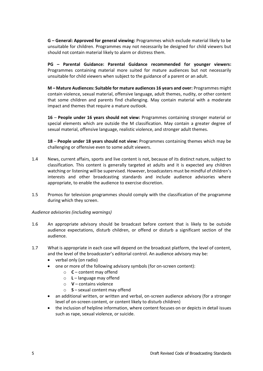**G – General: Approved for general viewing:** Programmes which exclude material likely to be unsuitable for children. Programmes may not necessarily be designed for child viewers but should not contain material likely to alarm or distress them.

**PG – Parental Guidance: Parental Guidance recommended for younger viewers:** Programmes containing material more suited for mature audiences but not necessarily unsuitable for child viewers when subject to the guidance of a parent or an adult.

**M – Mature Audiences: Suitable for mature audiences 16 years and over:** Programmes might contain violence, sexual material, offensive language, adult themes, nudity, or other content that some children and parents find challenging. May contain material with a moderate impact and themes that require a mature outlook.

**16** – **People under 16 years should not view:** Programmes containing stronger material or special elements which are outside the M classification. May contain a greater degree of sexual material, offensive language, realistic violence, and stronger adult themes.

**18** – **People under 18 years should not view:** Programmes containing themes which may be challenging or offensive even to some adult viewers.

- 1.4 News, current affairs, sports and live content is not, because of its distinct nature, subject to classification. This content is generally targeted at adults and it is expected any children watching or listening will be supervised. However, broadcasters must be mindful of children's interests and other broadcasting standards and include audience advisories where appropriate, to enable the audience to exercise discretion.
- 1.5 Promos for television programmes should comply with the classification of the programme during which they screen.

#### *Audience advisories (including warnings)*

- 1.6 An appropriate advisory should be broadcast before content that is likely to be outside audience expectations, disturb children, or offend or disturb a significant section of the audience.
- 1.7 What is appropriate in each case will depend on the broadcast platform, the level of content, and the level of the broadcaster's editorial control. An audience advisory may be:
	- verbal only (on radio)
	- one or more of the following advisory symbols (for on-screen content):
		- o **C** content may offend
		- o **L** language may offend
		- o **V** contains violence
		- o **S** sexual content may offend
	- an additional written, or written and verbal, on-screen audience advisory (for a stronger level of on-screen content, or content likely to disturb children)
	- the inclusion of helpline information, where content focuses on or depicts in detail issues such as rape, sexual violence, or suicide.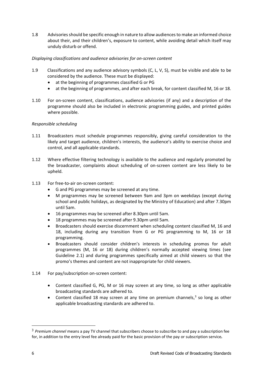1.8 Advisories should be specific enough in nature to allow audiences to make an informed choice about their, and their children's, exposure to content, while avoiding detail which itself may unduly disturb or offend.

# *Displaying classifications and audience advisories for on-screen content*

- 1.9 Classifications and any audience advisory symbols (C, L, V, S), must be visible and able to be considered by the audience. These must be displayed:
	- at the beginning of programmes classified G or PG
	- at the beginning of programmes, and after each break, for content classified M, 16 or 18.
- 1.10 For on-screen content, classifications, audience advisories (if any) and a description of the programme should also be included in electronic programming guides, and printed guides where possible.

### *Responsible scheduling*

- 1.11 Broadcasters must schedule programmes responsibly, giving careful consideration to the likely and target audience, children's interests, the audience's ability to exercise choice and control, and all applicable standards.
- 1.12 Where effective filtering technology is available to the audience and regularly promoted by the broadcaster, complaints about scheduling of on-screen content are less likely to be upheld.
- 1.13 For free-to-air on-screen content:
	- G and PG programmes may be screened at any time.
	- M programmes may be screened between 9am and 3pm on weekdays (except during school and public holidays, as designated by the Ministry of Education) and after 7.30pm until 5am.
	- 16 programmes may be screened after 8.30pm until 5am.
	- 18 programmes may be screened after 9.30pm until 5am.
	- Broadcasters should exercise discernment when scheduling content classified M, 16 and 18, including during any transition from G or PG programming to M, 16 or 18 programming.
	- Broadcasters should consider children's interests in scheduling promos for adult programmes (M, 16 or 18) during children's normally accepted viewing times (see Guideline 2.1) and during programmes specifically aimed at child viewers so that the promo's themes and content are not inappropriate for child viewers.
- 1.14 For pay/subscription on-screen content:
	- Content classified G, PG, M or 16 may screen at any time, so long as other applicable broadcasting standards are adhered to.
	- Content classified 18 may screen at any time on premium channels, $<sup>3</sup>$  so long as other</sup> applicable broadcasting standards are adhered to.

<sup>3</sup> *Premium channel* means a pay TV channel that subscribers choose to subscribe to and pay a subscription fee for, in addition to the entry level fee already paid for the basic provision of the pay or subscription service*.*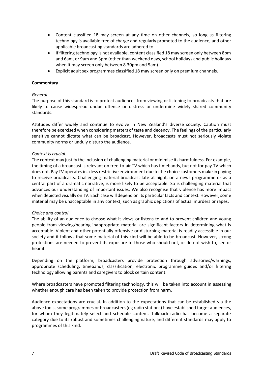- Content classified 18 may screen at any time on other channels, so long as filtering technology is available free of charge and regularly promoted to the audience, and other applicable broadcasting standards are adhered to.
- If filtering technology is not available, content classified 18 may screen only between 8pm and 6am, or 9am and 3pm (other than weekend days, school holidays and public holidays when it may screen only between 8.30pm and 5am).
- Explicit adult sex programmes classified 18 may screen only on premium channels.

#### *General*

The purpose of this standard is to protect audiences from viewing or listening to broadcasts that are likely to cause widespread undue offence or distress or undermine widely shared community standards.

Attitudes differ widely and continue to evolve in New Zealand's diverse society. Caution must therefore be exercised when considering matters of taste and decency. The feelings of the particularly sensitive cannot dictate what can be broadcast. However, broadcasts must not seriously violate community norms or unduly disturb the audience.

#### *Context is crucial*.

The context may justify the inclusion of challenging material or minimise its harmfulness. For example, the timing of a broadcast is relevant on free-to-air TV which has timebands, but not for pay TV which does not. Pay TV operates in a less restrictive environment due to the choice customers make in paying to receive broadcasts. Challenging material broadcast late at night, on a news programme or as a central part of a dramatic narrative, is more likely to be acceptable. So is challenging material that advances our understanding of important issues. We also recognise that violence has more impact when depicted visually on TV. Each case will depend on its particular facts and context. However,some material may be unacceptable in any context, such as graphic depictions of actual murders or rapes.

#### *Choice and control*

The ability of an audience to choose what it views or listens to and to prevent children and young people from viewing/hearing inappropriate material are significant factors in determining what is acceptable. Violent and other potentially offensive or disturbing material is readily accessible in our society and it follows that some material of this kind will be able to be broadcast. However, strong protections are needed to prevent its exposure to those who should not, or do not wish to, see or hear it.

Depending on the platform, broadcasters provide protection through advisories/warnings, appropriate scheduling, timebands, classification, electronic programme guides and/or filtering technology allowing parents and caregivers to block certain content.

Where broadcasters have promoted filtering technology, this will be taken into account in assessing whether enough care has been taken to provide protection from harm.

Audience expectations are crucial. In addition to the expectations that can be established via the above tools, some programmes or broadcasters (eg radio stations) have established target audiences, for whom they legitimately select and schedule content. Talkback radio has become a separate category due to its robust and sometimes challenging nature, and different standards may apply to programmes of this kind.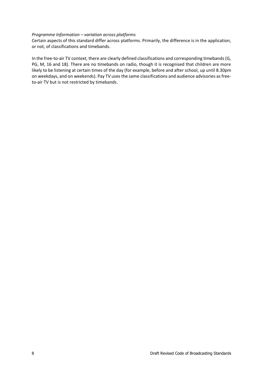#### *Programme Information – variation across platforms*

Certain aspects of this standard differ across platforms. Primarily, the difference is in the application, or not, of classifications and timebands.

In the free-to-air TV context, there are clearly defined classifications and corresponding timebands (G, PG, M, 16 and 18). There are no timebands on radio, though it is recognised that children are more likely to be listening at certain times of the day (for example, before and after school, up until 8.30pm on weekdays, and on weekends). Pay TV uses the same classifications and audience advisories as freeto-air TV but is not restricted by timebands.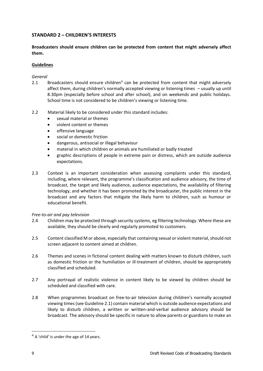# <span id="page-9-0"></span>**STANDARD 2 – CHILDREN'S INTERESTS**

**Broadcasters should ensure children can be protected from content that might adversely affect them.**

#### **Guidelines**

#### *General*

- 2.1 Broadcasters should ensure children<sup>4</sup> can be protected from content that might adversely affect them, during children's normally accepted viewing or listening times – usually up until 8.30pm (especially before school and after school), and on weekends and public holidays. School time is not considered to be children's viewing or listening time.
- 2.2 Material likely to be considered under this standard includes:
	- sexual material or themes
	- violent content or themes
	- offensive language
	- social or domestic friction
	- dangerous, antisocial or illegal behaviour
	- material in which children or animals are humiliated or badly treated
	- graphic descriptions of people in extreme pain or distress, which are outside audience expectations.
- 2.3 Context is an important consideration when assessing complaints under this standard, including, where relevant, the programme's classification and audience advisory, the time of broadcast, the target and likely audience, audience expectations, the availability of filtering technology, and whether it has been promoted by the broadcaster, the public interest in the broadcast and any factors that mitigate the likely harm to children, such as humour or educational benefit.

#### *Free-to-air and pay television*

- 2.4 Children may be protected through security systems, eg filtering technology. Where these are available, they should be clearly and regularly promoted to customers.
- 2.5 Content classified M or above, especially that containing sexual or violent material, should not screen adjacent to content aimed at children.
- 2.6 Themes and scenes in fictional content dealing with matters known to disturb children, such as domestic friction or the humiliation or ill-treatment of children, should be appropriately classified and scheduled.
- 2.7 Any portrayal of realistic violence in content likely to be viewed by children should be scheduled and classified with care.
- 2.8 When programmes broadcast on free-to-air television during children's normally accepted viewing times (see Guideline 2.1) contain material which is outside audience expectations and likely to disturb children, a written or written-and-verbal audience advisory should be broadcast. The advisory should be specific in nature to allow parents or guardians to make an

 $4$  A 'child' is under the age of 14 years.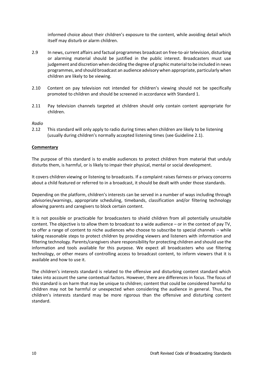informed choice about their children's exposure to the content, while avoiding detail which itself may disturb or alarm children.

- 2.9 In news, current affairs and factual programmes broadcast on free-to-air television, disturbing or alarming material should be justified in the public interest. Broadcasters must use judgement and discretion when deciding the degree of graphic material to be included in news programmes, and should broadcast an audience advisory when appropriate, particularly when children are likely to be viewing.
- 2.10 Content on pay television not intended for children's viewing should not be specifically promoted to children and should be screened in accordance with Standard 1.
- 2.11 Pay television channels targeted at children should only contain content appropriate for children.

#### *Radio*

2.12 This standard will only apply to radio during times when children are likely to be listening (usually during children's normally accepted listening times (see Guideline 2.1).

#### **Commentary**

The purpose of this standard is to enable audiences to protect children from material that unduly disturbs them, is harmful, or is likely to impair their physical, mental or social development.

It covers children viewing or listening to broadcasts. If a complaint raises fairness or privacy concerns about a child featured or referred to in a broadcast, it should be dealt with under those standards.

Depending on the platform, children's interests can be served in a number of ways including through advisories/warnings, appropriate scheduling, timebands, classification and/or filtering technology allowing parents and caregivers to block certain content.

It is not possible or practicable for broadcasters to shield children from all potentially unsuitable content. The objective is to allow them to broadcast to a wide audience – or in the context of pay TV, to offer a range of content to niche audiences who choose to subscribe to special channels – while taking reasonable steps to protect children by providing viewers and listeners with information and filtering technology. Parents/caregivers share responsibility for protecting children and should use the information and tools available for this purpose. We expect all broadcasters who use filtering technology, or other means of controlling access to broadcast content, to inform viewers that it is available and how to use it.

The children's interests standard is related to the offensive and disturbing content standard which takes into account the same contextual factors. However, there are differences in focus. The focus of this standard is on harm that may be unique to children; content that could be considered harmful to children may not be harmful or unexpected when considering the audience in general. Thus, the children's interests standard may be more rigorous than the offensive and disturbing content standard.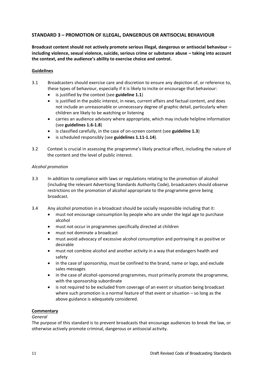# <span id="page-11-0"></span>**STANDARD 3 – PROMOTION OF ILLEGAL, DANGEROUS OR ANTISOCIAL BEHAVIOUR**

**Broadcast content should not actively promote serious illegal, dangerous or antisocial behaviour – including violence, sexual violence, suicide, serious crime or substance abuse – taking into account the context, and the audience's ability to exercise choice and control.**

#### **Guidelines**

- 3.1 Broadcasters should exercise care and discretion to ensure any depiction of, or reference to, these types of behaviour, especially if it is likely to incite or encourage that behaviour:
	- is justified by the context (see guideline 1.1)
	- is justified in the public interest, in news, current affairs and factual content, and does not include an unreasonable or unnecessary degree of graphic detail, particularly when children are likely to be watching or listening
	- carries an audience advisory where appropriate, which may include helpline information (see **guidelines 1.6-1.8**)
	- is classified carefully, in the case of on-screen content (see **guideline 1.3**)
	- is scheduled responsibly (see guidelines 1.11-1.14).
- 3.2 Context is crucial in assessing the programme's likely practical effect, including the nature of the content and the level of public interest.

#### *Alcohol promotion*

- 3.3 In addition to compliance with laws or regulations relating to the promotion of alcohol (including the relevant Advertising Standards Authority Code), broadcasters should observe restrictions on the promotion of alcohol appropriate to the programme genre being broadcast.
- 3.4 Any alcohol promotion in a broadcast should be socially responsible including that it:
	- must not encourage consumption by people who are under the legal age to purchase alcohol
	- must not occur in programmes specifically directed at children
	- must not dominate a broadcast
	- must avoid advocacy of excessive alcohol consumption and portraying it as positive or desirable
	- must not combine alcohol and another activity in a way that endangers health and safety
	- in the case of sponsorship, must be confined to the brand, name or logo, and exclude sales messages
	- in the case of alcohol-sponsored programmes, must primarily promote the programme, with the sponsorship subordinate
	- is not required to be excluded from coverage of an event or situation being broadcast where such promotion is a normal feature of that event or situation – so long as the above guidance is adequately considered.

#### **Commentary**

#### *General*

The purpose of this standard is to prevent broadcasts that encourage audiences to break the law, or otherwise actively promote criminal, dangerous or antisocial activity.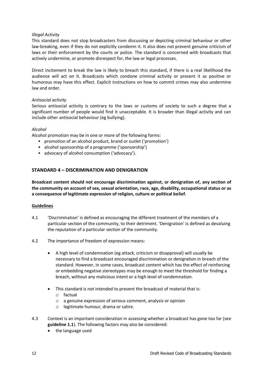#### *Illegal Activity*

This standard does not stop broadcasters from discussing or depicting criminal behaviour or other law-breaking, even if they do not explicitly condemn it. It also does not prevent genuine criticism of laws or their enforcement by the courts or police. The standard is concerned with broadcasts that actively undermine, or promote disrespect for, the law or legal processes.

Direct incitement to break the law is likely to breach this standard, if there is a real likelihood the audience will act on it. Broadcasts which condone criminal activity or present it as positive or humorous may have this effect. Explicit instructions on how to commit crimes may also undermine law and order.

#### *Antisocial activity*

Serious antisocial activity is contrary to the laws or customs of society to such a degree that a significant number of people would find it unacceptable. It is broader than illegal activity and can include other antisocial behaviour (eg bullying).

#### *Alcohol*

Alcohol promotion may be in one or more of the following forms:

- promotion of an alcohol product, brand or outlet ('promotion')
- alcohol sponsorship of a programme ('sponsorship')
- advocacy of alcohol consumption ('advocacy').

# <span id="page-12-0"></span>**STANDARD 4 – DISCRIMINATION AND DENIGRATION**

**Broadcast content should not encourage discrimination against, or denigration of, any section of the community on account of sex, sexual orientation, race, age, disability, occupational status or as a consequence of legitimate expression of religion, culture or political belief.**

#### **Guidelines**

- 4.1 'Discrimination' is defined as encouraging the different treatment of the members of a particular section of the community, to their detriment. 'Denigration' is defined as devaluing the reputation of a particular section of the community.
- 4.2 The importance of freedom of expression means:
	- A high level of condemnation (eg attack, criticism or disapproval) will usually be necessary to find a broadcast encouraged discrimination or denigration in breach of the standard. However, in some cases, broadcast content which has the effect of reinforcing or embedding negative stereotypes may be enough to meet the threshold for finding a breach, without any malicious intent or a high level of condemnation.
	- This standard is not intended to prevent the broadcast of material that is:
		- o factual
		- o a genuine expression of serious comment, analysis or opinion
		- o legitimate humour, drama or satire.
- 4.3 Context is an important consideration in assessing whether a broadcast has gone too far (see **guideline 1.1**). The following factors may also be considered:
	- the language used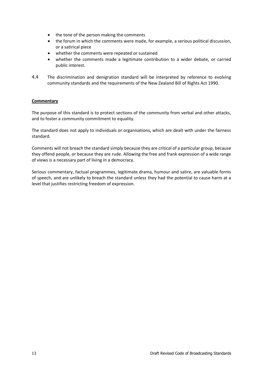- the tone of the person making the comments
- the forum in which the comments were made, for example, a serious political discussion, or a satirical piece
- whether the comments were repeated or sustained
- whether the comments made a legitimate contribution to a wider debate, or carried public interest.
- 4.4 The discrimination and denigration standard will be interpreted by reference to evolving community standards and the requirements of the New Zealand Bill of Rights Act 1990.

The purpose of this standard is to protect sections of the community from verbal and other attacks, and to foster a community commitment to equality.

The standard does not apply to individuals or organisations, which are dealt with under the fairness standard.

Comments will not breach the standard simply because they are critical of a particular group, because they offend people, or because they are rude. Allowing the free and frank expression of a wide range of views is a necessary part of living in a democracy.

Serious commentary, factual programmes, legitimate drama, humour and satire, are valuable forms of speech, and are unlikely to breach the standard unless they had the potential to cause harm at a level that justifies restricting freedom of expression.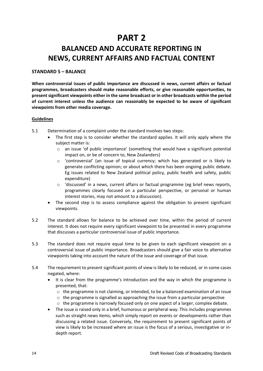# **PART 2**

# <span id="page-14-0"></span>**BALANCED AND ACCURATE REPORTING IN NEWS, CURRENT AFFAIRS AND FACTUAL CONTENT**

#### <span id="page-14-1"></span>**STANDARD 5 – BALANCE**

**When controversial issues of public importance are discussed in news, current affairs or factual programmes, broadcasters should make reasonable efforts, or give reasonable opportunities, to present significant viewpoints either in the same broadcast or in other broadcasts within the period of current interest unless the audience can reasonably be expected to be aware of significant viewpoints from other media coverage.**

#### **Guidelines**

- 5.1 Determination of a complaint under the standard involves two steps:
	- The first step is to consider whether the standard applies. It will only apply where the subject matter is:
		- o an issue 'of public importance' (something that would have a significant potential impact on, or be of concern to, New Zealanders)
		- o 'controversial' (an issue of topical currency; which has generated or is likely to generate conflicting opinion; or about which there has been ongoing public debate. Eg issues related to New Zealand political policy, public health and safety, public expenditure)
		- $\circ$  'discussed' in a news, current affairs or factual programme (eg brief news reports, programmes clearly focused on a particular perspective, or personal or human interest stories, may not amount to a discussion).
	- The second step is to assess compliance against the obligation to present significant viewpoints.
- 5.2 The standard allows for balance to be achieved over time, within the period of current interest. It does not require every significant viewpoint to be presented in every programme that discusses a particular controversial issue of public importance.
- 5.3 The standard does not require equal time to be given to each significant viewpoint on a controversial issue of public importance. Broadcasters should give a fair voice to alternative viewpoints taking into account the nature of the issue and coverage of that issue.
- 5.4 The requirement to present significant points of view is likely to be reduced, or in some cases negated, where:
	- It is clear from the programme's introduction and the way in which the programme is presented, that:
		- $\circ$  the programme is not claiming, or intended, to be a balanced examination of an issue
		- o the programme is signalled as approaching the issue from a particular perspective
		- $\circ$  the programme is narrowly focused only on one aspect of a larger, complex debate.
	- The issue is raised only in a brief, humorous or peripheral way. This includes programmes such as straight news items, which simply report on events or developments rather than discussing a related issue. Conversely, the requirement to present significant points of view is likely to be increased where an issue is the focus of a serious, investigative or indepth report.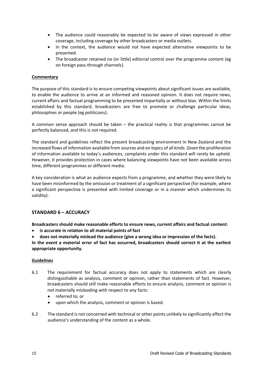- The audience could reasonably be expected to be aware of views expressed in other coverage, including coverage by other broadcasters or media outlets.
- In the context, the audience would not have expected alternative viewpoints to be presented.
- The broadcaster retained no (or little) editorial control over the programme content (eg on foreign pass-through channels).

The purpose of this standard is to ensure competing viewpoints about significant issues are available, to enable the audience to arrive at an informed and reasoned opinion. It does not require news, current affairs and factual programming to be presented impartially or without bias. Within the limits established by this standard, broadcasters are free to promote or challenge particular ideas, philosophies or people (eg politicians).

A common sense approach should be taken  $-$  the practical reality is that programmes cannot be perfectly balanced, and this is not required.

The standard and guidelines reflect the present broadcasting environment in New Zealand and the increased flows of information available from sources and on topics of all kinds. Given the proliferation of information available to today's audiences, complaints under this standard will rarely be upheld. However, it provides protection in cases where balancing viewpoints have not been available across time, different programmes or different media.

A key consideration is what an audience expects from a programme, and whether they were likely to have been misinformed by the omission or treatment of a significant perspective (for example, where a significant perspective is presented with limited coverage or in a manner which undermines its validity).

### <span id="page-15-0"></span>**STANDARD 6 – ACCURACY**

**Broadcasters should make reasonable efforts to ensure news, current affairs and factual content:**

- **is accurate in relation to all material points of fact**
- **does not materially mislead the audience (give a wrong idea or impression of the facts).**

**In the event a material error of fact has occurred, broadcasters should correct it at the earliest appropriate opportunity.**

#### **Guidelines**

- 6.1 The requirement for factual accuracy does not apply to statements which are clearly distinguishable as analysis, comment or opinion, rather than statements of fact. However, broadcasters should still make reasonable efforts to ensure analysis, comment or opinion is not materially misleading with respect to any facts:
	- referred to; or
	- upon which the analysis, comment or opinion is based.
- 6.2 The standard is not concerned with technical or other points unlikely to significantly affect the audience's understanding of the content as a whole.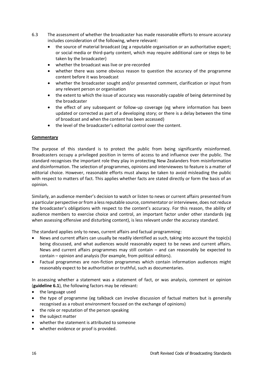- 6.3 The assessment of whether the broadcaster has made reasonable efforts to ensure accuracy includes consideration of the following, where relevant:
	- the source of material broadcast (eg a reputable organisation or an authoritative expert; or social media or third-party content, which may require additional care or steps to be taken by the broadcaster)
	- whether the broadcast was live or pre-recorded
	- whether there was some obvious reason to question the accuracy of the programme content before it was broadcast
	- whether the broadcaster sought and/or presented comment, clarification or input from any relevant person or organisation
	- the extent to which the issue of accuracy was reasonably capable of being determined by the broadcaster
	- the effect of any subsequent or follow-up coverage (eg where information has been updated or corrected as part of a developing story; or there is a delay between the time of broadcast and when the content has been accessed)
	- the level of the broadcaster's editorial control over the content.

The purpose of this standard is to protect the public from being significantly misinformed. Broadcasters occupy a privileged position in terms of access to and influence over the public. The standard recognises the important role they play in protecting New Zealanders from misinformation and disinformation. The selection of programmes, opinions and interviewees to feature is a matter of editorial choice. However, reasonable efforts must always be taken to avoid misleading the public with respect to matters of fact. This applies whether facts are stated directly or form the basis of an opinion.

Similarly, an audience member's decision to watch or listen to news or current affairs presented from a particular perspective or from a less reputable source, commentator or interviewee, does not reduce the broadcaster's obligations with respect to the content's accuracy. For this reason, the ability of audience members to exercise choice and control, an important factor under other standards (eg when assessing offensive and disturbing content), is less relevant under the accuracy standard.

The standard applies only to news, current affairs and factual programming:

- News and current affairs can usually be readily identified as such, taking into account the topic(s) being discussed, and what audiences would reasonably expect to be news and current affairs. News and current affairs programmes may still contain – and can reasonably be expected to contain – opinion and analysis (for example, from political editors).
- Factual programmes are non-fiction programmes which contain information audiences might reasonably expect to be authoritative or truthful, such as documentaries.

In assessing whether a statement was a statement of fact, or was analysis, comment or opinion (**guideline 6.1**), the following factors may be relevant:

- the language used
- the type of programme (eg talkback can involve discussion of factual matters but is generally recognised as a robust environment focused on the exchange of opinions)
- the role or reputation of the person speaking
- the subject matter
- whether the statement is attributed to someone
- whether evidence or proof is provided.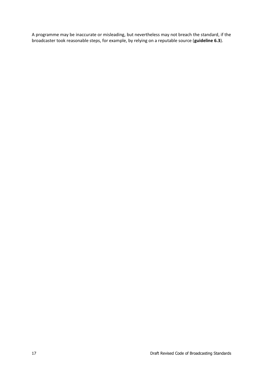A programme may be inaccurate or misleading, but nevertheless may not breach the standard, if the broadcaster took reasonable steps, for example, by relying on a reputable source (**guideline 6.3**).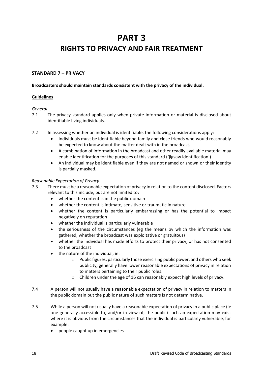# **PART 3**

# <span id="page-18-0"></span>**RIGHTS TO PRIVACY AND FAIR TREATMENT**

# <span id="page-18-1"></span>**STANDARD 7 – PRIVACY**

#### **Broadcasters should maintain standards consistent with the privacy of the individual.**

### **Guidelines**

#### *General*

- 7.1 The privacy standard applies only when private information or material is disclosed about identifiable living individuals.
- 7.2 In assessing whether an individual is identifiable, the following considerations apply:
	- Individuals must be identifiable beyond family and close friends who would reasonably be expected to know about the matter dealt with in the broadcast.
	- A combination of information in the broadcast and other readily available material may enable identification for the purposes of this standard ('jigsaw identification').
	- An individual may be identifiable even if they are not named or shown or their identity is partially masked.

#### *Reasonable Expectation of Privacy*

- 7.3 There must be a reasonable expectation of privacy in relation to the content disclosed. Factors relevant to this include, but are not limited to:
	- whether the content is in the public domain
	- whether the content is intimate, sensitive or traumatic in nature
	- whether the content is particularly embarrassing or has the potential to impact negatively on reputation
	- whether the individual is particularly vulnerable
	- the seriousness of the circumstances (eg the means by which the information was gathered, whether the broadcast was exploitative or gratuitous)
	- whether the individual has made efforts to protect their privacy, or has not consented to the broadcast
	- the nature of the individual, ie:
		- $\circ$  Public figures, particularly those exercising public power, and others who seek publicity, generally have lower reasonable expectations of privacy in relation to matters pertaining to their public roles.
		- o Children under the age of 16 can reasonably expect high levels of privacy.
- 7.4 A person will not usually have a reasonable expectation of privacy in relation to matters in the public domain but the public nature of such matters is not determinative.
- 7.5 While a person will not usually have a reasonable expectation of privacy in a public place (ie one generally accessible to, and/or in view of, the public) such an expectation may exist where it is obvious from the circumstances that the individual is particularly vulnerable, for example:
	- people caught up in emergencies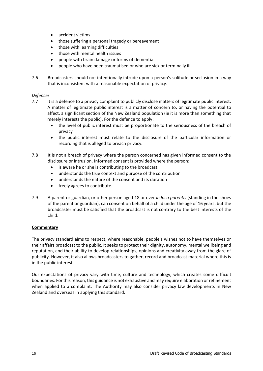- accident victims
- those suffering a personal tragedy or bereavement
- those with learning difficulties
- those with mental health issues
- people with brain damage or forms of dementia
- people who have been traumatised or who are sick or terminally ill.
- 7.6 Broadcasters should not intentionally intrude upon a person's solitude or seclusion in a way that is inconsistent with a reasonable expectation of privacy.

#### *Defences*

- 7.7 It is a defence to a privacy complaint to publicly disclose matters of legitimate public interest. A matter of legitimate public interest is a matter of concern to, or having the potential to affect, a significant section of the New Zealand population (ie it is more than something that merely interests the public). For the defence to apply:
	- the level of public interest must be proportionate to the seriousness of the breach of privacy
	- the public interest must relate to the disclosure of the particular information or recording that is alleged to breach privacy.
- 7.8 It is not a breach of privacy where the person concerned has given informed consent to the disclosure or intrusion. Informed consent is provided where the person:
	- is aware he or she is contributing to the broadcast
	- understands the true context and purpose of the contribution
	- understands the nature of the consent and its duration
	- freely agrees to contribute.
- 7.9 A parent or guardian, or other person aged 18 or over *in loco parentis* (standing in the shoes of the parent or guardian), can consent on behalf of a child under the age of 16 years, but the broadcaster must be satisfied that the broadcast is not contrary to the best interests of the child.

#### **Commentary**

The privacy standard aims to respect, where reasonable, people's wishes not to have themselves or their affairs broadcast to the public. It seeks to protect their dignity, autonomy, mental wellbeing and reputation, and their ability to develop relationships, opinions and creativity away from the glare of publicity. However, it also allows broadcasters to gather, record and broadcast material where this is in the public interest.

Our expectations of privacy vary with time, culture and technology, which creates some difficult boundaries. For this reason, this guidance is not exhaustive and may require elaboration or refinement when applied to a complaint. The Authority may also consider privacy law developments in New Zealand and overseas in applying this standard.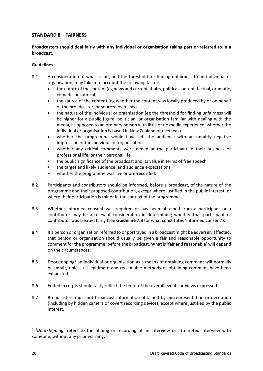# <span id="page-20-0"></span>**STANDARD 8 – FAIRNESS**

# **Broadcasters should deal fairly with any individual or organisation taking part or referred to in a broadcast.**

### **Guidelines**

- 8.1 A consideration of what is fair, and the threshold for finding unfairness to an individual or organisation, may take into account the following factors:
	- the nature of the content (eg news and current affairs, political content, factual, dramatic, comedic or satirical)
	- the source of the content (eg whether the content was locally produced by or on behalf of the broadcaster, or sourced overseas)
	- the nature of the individual or organisation (eg the threshold for finding unfairness will be higher for a public figure, politician, or organisation familiar with dealing with the media, as opposed to an ordinary person with little or no media experience; whether the individual or organisation is based in New Zealand or overseas)
	- whether the programme would have left the audience with an unfairly negative impression of the individual or organisation
	- whether any critical comments were aimed at the participant in their business or professional life, or their personal life
	- the public significance of the broadcast and its value in terms of free speech
	- the target and likely audience, and audience expectations
	- whether the programme was live or pre-recorded.
- 8.2 Participants and contributors should be informed, before a broadcast, of the nature of the programme and their proposed contribution, except where justified in the public interest, or where their participation is minor in the context of the programme.
- 8.3 Whether informed consent was required or has been obtained from a participant or a contributor may be a relevant consideration in determining whether that participant or contributor was treated fairly (see **Guideline 7.8** for what constitutes 'informed consent').
- 8.4 If a person or organisation referred to or portrayed in a broadcast might be adversely affected, that person or organisation should usually be given a fair and reasonable opportunity to comment for the programme, before the broadcast. What is 'fair and reasonable' will depend on the circumstances.
- 8.5 Doorstepping<sup>5</sup> an individual or organisation as a means of obtaining comment will normally be unfair, unless all legitimate and reasonable methods of obtaining comment have been exhausted.
- 8.6 Edited excerpts should fairly reflect the tenor of the overall events or views expressed.
- 8.7 Broadcasters must not broadcast information obtained by misrepresentation or deception (including by hidden camera or covert recording device), except where justified by the public interest.

<sup>5</sup> '*Doorstepping'* refers to the filming or recording of an interview or attempted interview with someone, without any prior warning.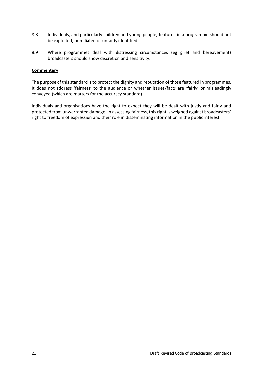- 8.8 Individuals, and particularly children and young people, featured in a programme should not be exploited, humiliated or unfairly identified.
- 8.9 Where programmes deal with distressing circumstances (eg grief and bereavement) broadcasters should show discretion and sensitivity.

The purpose of this standard is to protect the dignity and reputation of those featured in programmes. It does not address 'fairness' to the audience or whether issues/facts are 'fairly' or misleadingly conveyed (which are matters for the accuracy standard).

Individuals and organisations have the right to expect they will be dealt with justly and fairly and protected from unwarranted damage. In assessing fairness, this right is weighed against broadcasters' right to freedom of expression and their role in disseminating information in the public interest.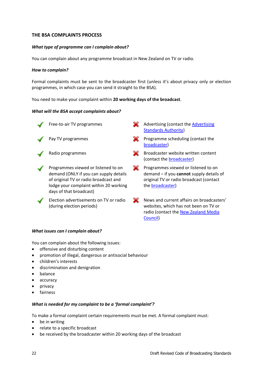# <span id="page-22-0"></span>**THE BSA COMPLAINTS PROCESS**

#### *What type of programme can I complain about?*

You can complain about any programme broadcast in New Zealand on TV or radio.

#### *How to complain?*

Formal complaints must be sent to the broadcaster first (unless it's about privacy only or election programmes, in which case you can send it straight to the BSA).

You need to make your complaint within **20 working days of the broadcast**.

#### *What will the BSA accept complaints about?*



Programmes viewed or listened to on demand (ONLY if you can supply details of original TV or radio broadcast and lodge your complaint within 20 working days of that broadcast)

Election advertisements on TV or radio (during election periods)

- Free-to-air TV programmes  $\sim$  [Advertising](http://www.asa.co.nz/) (contact the Advertising [Standards Authority\)](http://www.asa.co.nz/)
- Pay TV programmes **Pay TV** programme scheduling (contact the [broadcaster\)](https://www.bsa.govt.nz/broadcasters/broadcaster-contact-details/)
- Radio programmes **Broadcaster website written content** (contact the [broadcaster\)](https://www.bsa.govt.nz/broadcasters/broadcaster-contact-details/)
	- **EX** Programmes viewed or listened to on demand – if you **cannot** supply details of original TV or radio broadcast (contact th[e broadcaster\)](https://www.bsa.govt.nz/broadcasters/broadcaster-contact-details/)
	- $\infty$ News and current affairs on broadcasters' websites, which has not been on TV or radio (contact th[e New Zealand Media](https://www.mediacouncil.org.nz/)  [Council\)](https://www.mediacouncil.org.nz/)

#### *What issues can I complain about?*

You can complain about the following issues:

- offensive and disturbing content
- promotion of illegal, dangerous or antisocial behaviour
- children's interests
- discrimination and denigration
- balance
- accuracy
- privacy
- fairness

### *What is needed for my complaint to be a 'formal complaint'?*

To make a formal complaint certain requirements must be met. A formal complaint must:

- be in writing
- relate to a specific broadcast
- be received by the broadcaster within 20 working days of the broadcast